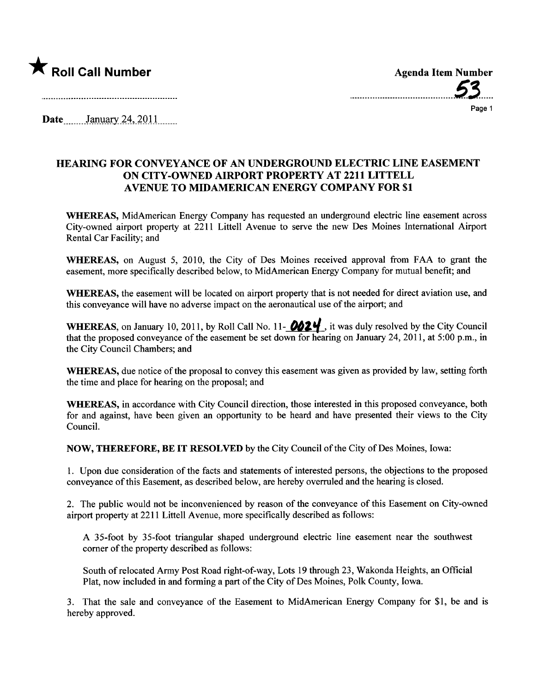

\_.........\_\_................\_..\_\_\_.\_.\_....53..\_.\_\_

Page 1

Date  $January\,24,2011$ 

## HEARING FOR CONVEYANCE OF AN UNDERGROUND ELECTRIC LINE EASEMENT ON CITY-OWNED AIRPORT PROPERTY AT 2211 LITTELL AVENUE TO MIDAMERICAN ENERGY COMPANY FOR \$1

WHEREAS, MidAmerican Energy Company has requested an underground electric line easement across City-owned airport property at 2211 Littell Avenue to serve the new Des Moines International Airport Rental Car Facility; and

WHEREAS, on August 5, 2010, the City of Des Moines received approval from FAA to grant the easement, more specifically described below, to MidAmerican Energy Company for mutual benefit; and

WHEREAS, the easement will be located on airport property that is not needed for direct aviation use, and this conveyance will have no adverse impact on the aeronautical use of the airport; and

WHEREAS, on January 10, 2011, by Roll Call No. 11- $\partial 24$ , it was duly resolved by the City Council that the proposed conveyance of the easement be set down for hearing on January 24, 2011, at 5:00 p.m., in the City Council Chambers; and

WHEREAS, due notice of the proposal to convey this easement was given as provided by law, setting forth the time and place for hearing on the proposal; and

WHEREAS, in accordance with City Council direction, those interested in this proposed conveyance, both for and against, have been given an opportunity to be heard and have presented their views to the City CounciL.

NOW, THEREFORE, BE IT RESOLVED by the City Council of the City of Des Moines, Iowa:

1. Upon due consideration of the facts and statements of interested persons, the objections to the proposed conveyance of this Easement, as described below, are hereby overrled and the hearing is closed.

2. The public would not be inconvenienced by reason of the conveyance of this Easement on City-owned airport property at 2211 Littell Avenue, more specifically described as follows:

A 35-foot by 35-foot triangular shaped underground electric line easement near the southwest corner of the property described as follows:

South of relocated Army Post Road right-of-way, Lots 19 through 23, Wakonda Heights, an Official Plat, now included in and forming a part of the City of Des Moines, Polk County, Iowa.

3. That the sale and conveyance of the Easement to MidAmerican Energy Company for \$1, be and is hereby approved.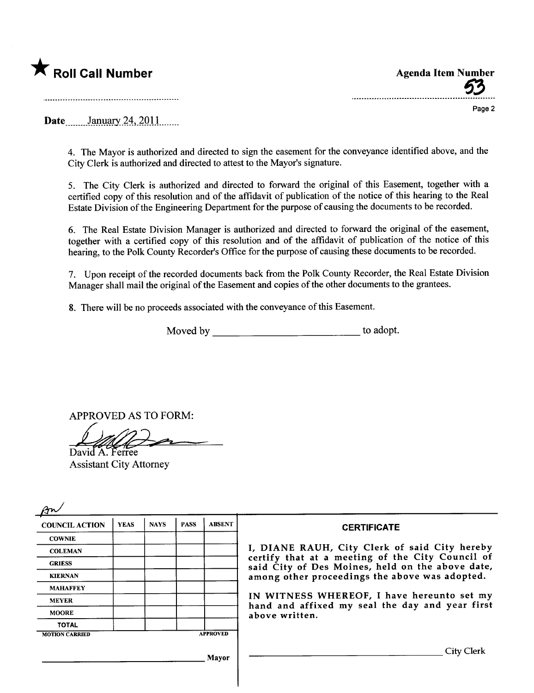

63

Page 2

Date January 24, 2011

4. The Mayor is authorized and directed to sign the easement for the conveyance identified above, and the City Clerk is authorized and directed to attest to the Mayor's signature.

5. The City Clerk is authorized and directed to forward the original of this Easement, together with a certified copy of this resolution and of the affidavit of publication of the notice of this hearing to the Real Estate Division of the Engineering Department for the purpose of causing the documents to be recorded.

6. The Real Estate Division Manager is authorized and directed to forward the original of the easement, together with a certified copy of this resolution and of the affdavit of publication of the notice of this hearing, to the Polk County Recorder's Office for the purpose of causing these documents to be recorded.

7. Upon receipt of the recorded documents back from the Polk County Recorder, the Real Estate Division Manager shall mail the original of the Easement and copies of the other documents to the grantees.

8. There will be no proceeds associated with the conveyance of this Easement.

Moved by to adopt.

APPROVED AS TO FORM:

David A. Ferree APPROVED AS TO FORMALLY

| <b>COUNCIL ACTION</b> | <b>YEAS</b> | <b>NAYS</b> | <b>PASS</b> | <b>ABSENT</b>   | <b>CERTIFICATE</b>                                                                                                                                     |
|-----------------------|-------------|-------------|-------------|-----------------|--------------------------------------------------------------------------------------------------------------------------------------------------------|
| <b>COWNIE</b>         |             |             |             |                 |                                                                                                                                                        |
| <b>COLEMAN</b>        |             |             |             |                 | I, DIANE RAUH, City Clerk of said City hereby                                                                                                          |
| <b>GRIESS</b>         |             |             |             |                 | certify that at a meeting of the City Council of<br>said City of Des Moines, held on the above date,<br>among other proceedings the above was adopted. |
| <b>KIERNAN</b>        |             |             |             |                 |                                                                                                                                                        |
| <b>MAHAFFEY</b>       |             |             |             |                 |                                                                                                                                                        |
| <b>MEYER</b>          |             |             |             |                 | IN WITNESS WHEREOF, I have hereunto set my<br>hand and affixed my seal the day and year first<br>above written.                                        |
| <b>MOORE</b>          |             |             |             |                 |                                                                                                                                                        |
| <b>TOTAL</b>          |             |             |             |                 |                                                                                                                                                        |
| <b>MOTION CARRIED</b> |             |             |             | <b>APPROVED</b> |                                                                                                                                                        |
|                       |             |             |             | Mayor           | City Clerk                                                                                                                                             |